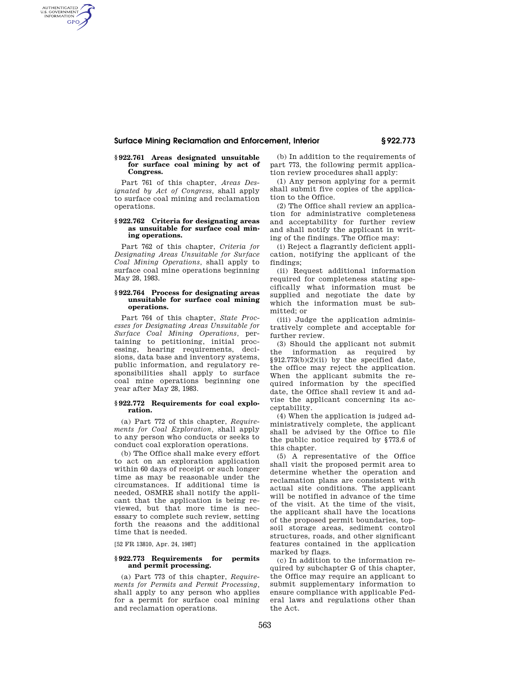# **Surface Mining Reclamation and Enforcement, Interior § 922.773**

## **§ 922.761 Areas designated unsuitable for surface coal mining by act of Congress.**

AUTHENTICATED<br>U.S. GOVERNMENT<br>INFORMATION **GPO** 

> Part 761 of this chapter, *Areas Designated by Act of Congress,* shall apply to surface coal mining and reclamation operations.

### **§ 922.762 Criteria for designating areas as unsuitable for surface coal mining operations.**

Part 762 of this chapter, *Criteria for Designating Areas Unsuitable for Surface Coal Mining Operations,* shall apply to surface coal mine operations beginning May 28, 1983.

# **§ 922.764 Process for designating areas unsuitable for surface coal mining operations.**

Part 764 of this chapter, *State Processes for Designating Areas Unsuitable for Surface Coal Mining Operations,* pertaining to petitioning, initial processing, hearing requirements, decisions, data base and inventory systems, public information, and regulatory responsibilities shall apply to surface coal mine operations beginning one year after May 28, 1983.

# **§ 922.772 Requirements for coal exploration.**

(a) Part 772 of this chapter, *Requirements for Coal Exploration,* shall apply to any person who conducts or seeks to conduct coal exploration operations.

(b) The Office shall make every effort to act on an exploration application within 60 days of receipt or such longer time as may be reasonable under the circumstances. If additional time is needed, OSMRE shall notify the applicant that the application is being reviewed, but that more time is necessary to complete such review, setting forth the reasons and the additional time that is needed.

[52 FR 13810, Apr. 24, 1987]

## **§ 922.773 Requirements for permits and permit processing.**

(a) Part 773 of this chapter, *Requirements for Permits and Permit Processing,*  shall apply to any person who applies for a permit for surface coal mining and reclamation operations.

(b) In addition to the requirements of part 773, the following permit application review procedures shall apply:

(1) Any person applying for a permit shall submit five copies of the application to the Office.

(2) The Office shall review an application for administrative completeness and acceptability for further review and shall notify the applicant in writing of the findings. The Office may:

(i) Reject a flagrantly deficient application, notifying the applicant of the findings;

(ii) Request additional information required for completeness stating specifically what information must be supplied and negotiate the date by which the information must be submitted; or

(iii) Judge the application administratively complete and acceptable for further review.

(3) Should the applicant not submit the information as required by  $§912.773(b)(2)(ii)$  by the specified date, the office may reject the application. When the applicant submits the required information by the specified date, the Office shall review it and advise the applicant concerning its acceptability.

(4) When the application is judged administratively complete, the applicant shall be advised by the Office to file the public notice required by §773.6 of this chapter.

(5) A representative of the Office shall visit the proposed permit area to determine whether the operation and reclamation plans are consistent with actual site conditions. The applicant will be notified in advance of the time of the visit. At the time of the visit, the applicant shall have the locations of the proposed permit boundaries, topsoil storage areas, sediment control structures, roads, and other significant features contained in the application marked by flags.

(c) In addition to the information required by subchapter G of this chapter, the Office may require an applicant to submit supplementary information to ensure compliance with applicable Federal laws and regulations other than the Act.